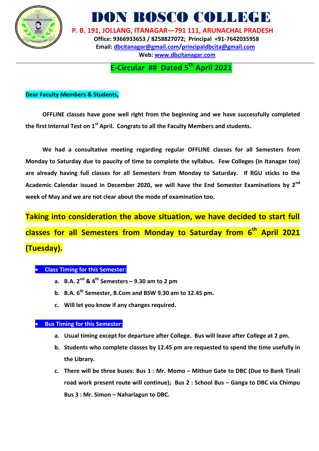

DON BOSCO COLLEGI

 **P. B. 191, JOLLANG, ITANAGAR—791 111, ARUNACHAL PRADESH Office: 9366933653 / 8258827072; Principal +91-7642035958 Email: [dbcitanagar@gmail.com/](mailto:dbcitanagar@gmail.com)principaldbcita@gmail.com Web: [www.dbcitanagar.com](http://www.dbcitanagar.com/)**

**E-Circular ## Dated 5 th April 2021**

## **Dear Faculty Members & Students,**

**OFFLINE classes have gone well right from the beginning and we have successfully completed the first Internal Test on 1st April. Congrats to all the Faculty Members and students.**

**We had a consultative meeting regarding regular OFFLINE classes for all Semesters from Monday to Saturday due to paucity of time to complete the syllabus. Few Colleges (in Itanagar too) are already having full classes for all Semesters from Monday to Saturday. If RGU sticks to the Academic Calendar issued in December 2020, we will have the End Semester Examinations by 2nd week of May and we are not clear about the mode of examination too.** 

**Taking into consideration the above situation, we have decided to start full classes for all Semesters from Monday to Saturday from 6 th April 2021 (Tuesday).** 

## **Class Timing for this Semester:**

- **a. B.A. 2nd & 4th Semesters – 9.30 am to 2 pm**
- **b. B.A. 6th Semester, B.Com and BSW 9.30 am to 12.45 pm.**
- **c. Will let you know if any changes required.**

## **Bus Timing for this Semester:**

- **a. Usual timing except for departure after College. Bus will leave after College at 2 pm.**
- **b. Students who complete classes by 12.45 pm are requested to spend the time usefully in the Library.**
- **c. There will be three buses: Bus 1 : Mr. Momo – Mithun Gate to DBC (Due to Bank Tinali road work present route will continue); Bus 2 : School Bus – Ganga to DBC via Chimpu Bus 3 : Mr. Simon – Naharlagun to DBC.**